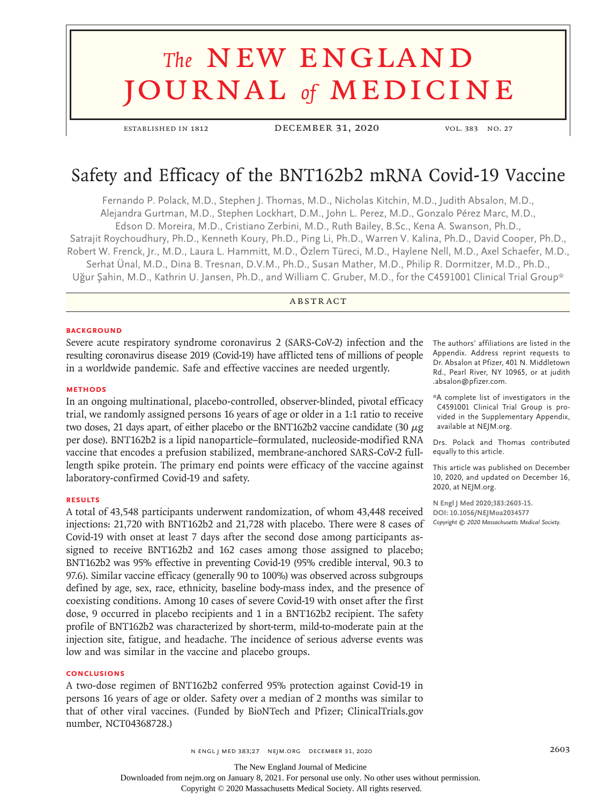# **The NEW ENGLAND** journal *of* medicine

established in 1812 December 31, 2020 vol. 383 no. 27

# Safety and Efficacy of the BNT162b2 mRNA Covid-19 Vaccine

Fernando P. Polack, M.D., Stephen J. Thomas, M.D., Nicholas Kitchin, M.D., Judith Absalon, M.D., Alejandra Gurtman, M.D., Stephen Lockhart, D.M., John L. Perez, M.D., Gonzalo Pérez Marc, M.D., Edson D. Moreira, M.D., Cristiano Zerbini, M.D., Ruth Bailey, B.Sc., Kena A. Swanson, Ph.D., Satrajit Roychoudhury, Ph.D., Kenneth Koury, Ph.D., Ping Li, Ph.D., Warren V. Kalina, Ph.D., David Cooper, Ph.D., Robert W. Frenck, Jr., M.D., Laura L. Hammitt, M.D., Özlem Türeci, M.D., Haylene Nell, M.D., Axel Schaefer, M.D., Serhat Ünal, M.D., Dina B. Tresnan, D.V.M., Ph.D., Susan Mather, M.D., Philip R. Dormitzer, M.D., Ph.D., Uğur Şahin, M.D., Kathrin U. Jansen, Ph.D., and William C. Gruber, M.D., for the C4591001 Clinical Trial Group\*

# **ABSTRACT**

#### **BACKGROUND**

Severe acute respiratory syndrome coronavirus 2 (SARS-CoV-2) infection and the resulting coronavirus disease 2019 (Covid-19) have afflicted tens of millions of people in a worldwide pandemic. Safe and effective vaccines are needed urgently.

#### **METHODS**

In an ongoing multinational, placebo-controlled, observer-blinded, pivotal efficacy trial, we randomly assigned persons 16 years of age or older in a 1:1 ratio to receive two doses, 21 days apart, of either placebo or the BNT162b2 vaccine candidate (30 μg per dose). BNT162b2 is a lipid nanoparticle–formulated, nucleoside-modified RNA vaccine that encodes a prefusion stabilized, membrane-anchored SARS-CoV-2 fulllength spike protein. The primary end points were efficacy of the vaccine against laboratory-confirmed Covid-19 and safety.

#### **RESULTS**

A total of 43,548 participants underwent randomization, of whom 43,448 received injections: 21,720 with BNT162b2 and 21,728 with placebo. There were 8 cases of Covid-19 with onset at least 7 days after the second dose among participants assigned to receive BNT162b2 and 162 cases among those assigned to placebo; BNT162b2 was 95% effective in preventing Covid-19 (95% credible interval, 90.3 to 97.6). Similar vaccine efficacy (generally 90 to 100%) was observed across subgroups defined by age, sex, race, ethnicity, baseline body-mass index, and the presence of coexisting conditions. Among 10 cases of severe Covid-19 with onset after the first dose, 9 occurred in placebo recipients and 1 in a BNT162b2 recipient. The safety profile of BNT162b2 was characterized by short-term, mild-to-moderate pain at the injection site, fatigue, and headache. The incidence of serious adverse events was low and was similar in the vaccine and placebo groups.

### **CONCLUSIONS**

A two-dose regimen of BNT162b2 conferred 95% protection against Covid-19 in persons 16 years of age or older. Safety over a median of 2 months was similar to that of other viral vaccines. (Funded by BioNTech and Pfizer; ClinicalTrials.gov number, NCT04368728.)

The authors' affiliations are listed in the Appendix. Address reprint requests to Dr. Absalon at Pfizer, 401 N. Middletown Rd., Pearl River, NY 10965, or at judith .absalon@pfizer.com.

\*A complete list of investigators in the C4591001 Clinical Trial Group is provided in the Supplementary Appendix, available at NEJM.org.

Drs. Polack and Thomas contributed equally to this article.

This article was published on December 10, 2020, and updated on December 16, 2020, at NEJM.org.

**N Engl J Med 2020;383:2603-15. DOI: 10.1056/NEJMoa2034577** *Copyright © 2020 Massachusetts Medical Society.*

The New England Journal of Medicine

Downloaded from nejm.org on January 8, 2021. For personal use only. No other uses without permission.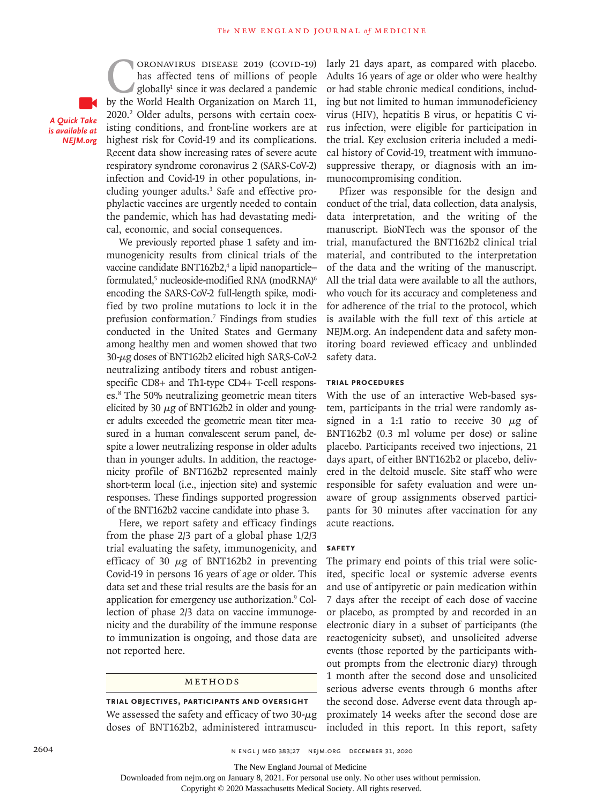*A Quick Take is available at NEJM.org*

CORONAVIRUS DISEASE 2019 (COVID-19)<br>has affected tens of millions of people<br>globally<sup>1</sup> since it was declared a pandemic<br>by the World Health Organization on March 11. has affected tens of millions of people globally1 since it was declared a pandemic by the World Health Organization on March 11, 2020.2 Older adults, persons with certain coexisting conditions, and front-line workers are at highest risk for Covid-19 and its complications. Recent data show increasing rates of severe acute respiratory syndrome coronavirus 2 (SARS-CoV-2) infection and Covid-19 in other populations, including younger adults.<sup>3</sup> Safe and effective prophylactic vaccines are urgently needed to contain the pandemic, which has had devastating medical, economic, and social consequences.

We previously reported phase 1 safety and immunogenicity results from clinical trials of the vaccine candidate BNT162b2,<sup>4</sup> a lipid nanoparticleformulated,<sup>5</sup> nucleoside-modified RNA (modRNA)<sup>6</sup> encoding the SARS-CoV-2 full-length spike, modified by two proline mutations to lock it in the prefusion conformation.7 Findings from studies conducted in the United States and Germany among healthy men and women showed that two 30-μg doses of BNT162b2 elicited high SARS-CoV-2 neutralizing antibody titers and robust antigenspecific CD8+ and Th1-type CD4+ T-cell responses.8 The 50% neutralizing geometric mean titers elicited by 30  $\mu$ g of BNT162b2 in older and younger adults exceeded the geometric mean titer measured in a human convalescent serum panel, despite a lower neutralizing response in older adults than in younger adults. In addition, the reactogenicity profile of BNT162b2 represented mainly short-term local (i.e., injection site) and systemic responses. These findings supported progression of the BNT162b2 vaccine candidate into phase 3.

Here, we report safety and efficacy findings from the phase 2/3 part of a global phase 1/2/3 trial evaluating the safety, immunogenicity, and efficacy of 30  $\mu$ g of BNT162b2 in preventing Covid-19 in persons 16 years of age or older. This data set and these trial results are the basis for an application for emergency use authorization.<sup>9</sup> Collection of phase 2/3 data on vaccine immunogenicity and the durability of the immune response to immunization is ongoing, and those data are not reported here.

#### METHODS

**Trial Objectives, Participants and Oversight** We assessed the safety and efficacy of two  $30 - \mu g$ doses of BNT162b2, administered intramuscularly 21 days apart, as compared with placebo. Adults 16 years of age or older who were healthy or had stable chronic medical conditions, including but not limited to human immunodeficiency virus (HIV), hepatitis B virus, or hepatitis C virus infection, were eligible for participation in the trial. Key exclusion criteria included a medical history of Covid-19, treatment with immunosuppressive therapy, or diagnosis with an immunocompromising condition.

Pfizer was responsible for the design and conduct of the trial, data collection, data analysis, data interpretation, and the writing of the manuscript. BioNTech was the sponsor of the trial, manufactured the BNT162b2 clinical trial material, and contributed to the interpretation of the data and the writing of the manuscript. All the trial data were available to all the authors, who vouch for its accuracy and completeness and for adherence of the trial to the protocol, which is available with the full text of this article at NEJM.org. An independent data and safety monitoring board reviewed efficacy and unblinded safety data.

# **Trial Procedures**

With the use of an interactive Web-based system, participants in the trial were randomly assigned in a 1:1 ratio to receive 30  $\mu$ g of BNT162b2 (0.3 ml volume per dose) or saline placebo. Participants received two injections, 21 days apart, of either BNT162b2 or placebo, delivered in the deltoid muscle. Site staff who were responsible for safety evaluation and were unaware of group assignments observed participants for 30 minutes after vaccination for any acute reactions.

#### **Safety**

The primary end points of this trial were solicited, specific local or systemic adverse events and use of antipyretic or pain medication within 7 days after the receipt of each dose of vaccine or placebo, as prompted by and recorded in an electronic diary in a subset of participants (the reactogenicity subset), and unsolicited adverse events (those reported by the participants without prompts from the electronic diary) through 1 month after the second dose and unsolicited serious adverse events through 6 months after the second dose. Adverse event data through approximately 14 weeks after the second dose are included in this report. In this report, safety

Downloaded from nejm.org on January 8, 2021. For personal use only. No other uses without permission.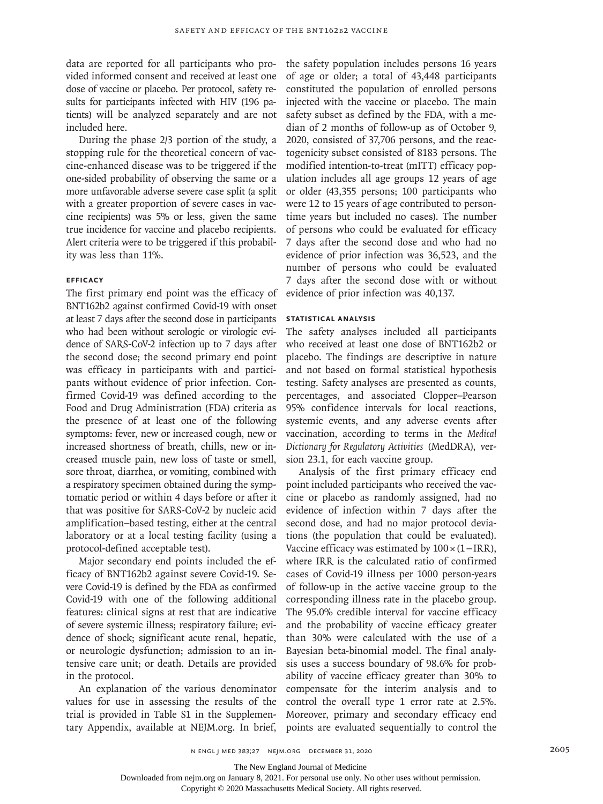data are reported for all participants who provided informed consent and received at least one dose of vaccine or placebo. Per protocol, safety results for participants infected with HIV (196 patients) will be analyzed separately and are not included here.

During the phase 2/3 portion of the study, a stopping rule for the theoretical concern of vaccine-enhanced disease was to be triggered if the one-sided probability of observing the same or a more unfavorable adverse severe case split (a split with a greater proportion of severe cases in vaccine recipients) was 5% or less, given the same true incidence for vaccine and placebo recipients. Alert criteria were to be triggered if this probability was less than 11%.

# **Efficacy**

The first primary end point was the efficacy of BNT162b2 against confirmed Covid-19 with onset at least 7 days after the second dose in participants who had been without serologic or virologic evidence of SARS-CoV-2 infection up to 7 days after the second dose; the second primary end point was efficacy in participants with and participants without evidence of prior infection. Confirmed Covid-19 was defined according to the Food and Drug Administration (FDA) criteria as the presence of at least one of the following symptoms: fever, new or increased cough, new or increased shortness of breath, chills, new or increased muscle pain, new loss of taste or smell, sore throat, diarrhea, or vomiting, combined with a respiratory specimen obtained during the symptomatic period or within 4 days before or after it that was positive for SARS-CoV-2 by nucleic acid amplification–based testing, either at the central laboratory or at a local testing facility (using a protocol-defined acceptable test).

Major secondary end points included the efficacy of BNT162b2 against severe Covid-19. Severe Covid-19 is defined by the FDA as confirmed Covid-19 with one of the following additional features: clinical signs at rest that are indicative of severe systemic illness; respiratory failure; evidence of shock; significant acute renal, hepatic, or neurologic dysfunction; admission to an intensive care unit; or death. Details are provided in the protocol.

An explanation of the various denominator values for use in assessing the results of the trial is provided in Table S1 in the Supplementary Appendix, available at NEJM.org. In brief,

the safety population includes persons 16 years of age or older; a total of 43,448 participants constituted the population of enrolled persons injected with the vaccine or placebo. The main safety subset as defined by the FDA, with a median of 2 months of follow-up as of October 9, 2020, consisted of 37,706 persons, and the reactogenicity subset consisted of 8183 persons. The modified intention-to-treat (mITT) efficacy population includes all age groups 12 years of age or older (43,355 persons; 100 participants who were 12 to 15 years of age contributed to persontime years but included no cases). The number of persons who could be evaluated for efficacy 7 days after the second dose and who had no evidence of prior infection was 36,523, and the number of persons who could be evaluated 7 days after the second dose with or without evidence of prior infection was 40,137.

# **Statistical Analysis**

The safety analyses included all participants who received at least one dose of BNT162b2 or placebo. The findings are descriptive in nature and not based on formal statistical hypothesis testing. Safety analyses are presented as counts, percentages, and associated Clopper–Pearson 95% confidence intervals for local reactions, systemic events, and any adverse events after vaccination, according to terms in the *Medical Dictionary for Regulatory Activities* (MedDRA), version 23.1, for each vaccine group.

Analysis of the first primary efficacy end point included participants who received the vaccine or placebo as randomly assigned, had no evidence of infection within 7 days after the second dose, and had no major protocol deviations (the population that could be evaluated). Vaccine efficacy was estimated by 100×(1−IRR), where IRR is the calculated ratio of confirmed cases of Covid-19 illness per 1000 person-years of follow-up in the active vaccine group to the corresponding illness rate in the placebo group. The 95.0% credible interval for vaccine efficacy and the probability of vaccine efficacy greater than 30% were calculated with the use of a Bayesian beta-binomial model. The final analysis uses a success boundary of 98.6% for probability of vaccine efficacy greater than 30% to compensate for the interim analysis and to control the overall type 1 error rate at 2.5%. Moreover, primary and secondary efficacy end points are evaluated sequentially to control the

The New England Journal of Medicine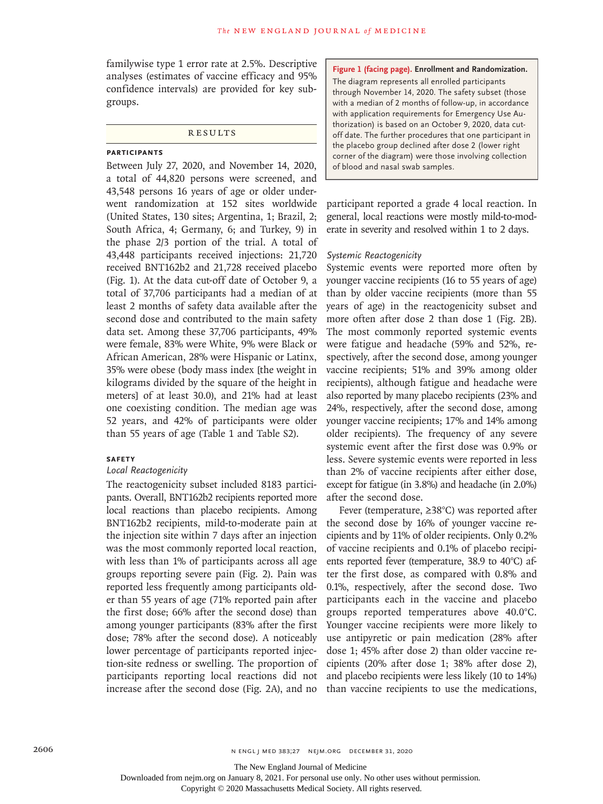familywise type 1 error rate at 2.5%. Descriptive analyses (estimates of vaccine efficacy and 95% confidence intervals) are provided for key subgroups.

### **RESULTS**

# **Participants**

Between July 27, 2020, and November 14, 2020, a total of 44,820 persons were screened, and 43,548 persons 16 years of age or older underwent randomization at 152 sites worldwide (United States, 130 sites; Argentina, 1; Brazil, 2; South Africa, 4; Germany, 6; and Turkey, 9) in the phase 2/3 portion of the trial. A total of 43,448 participants received injections: 21,720 received BNT162b2 and 21,728 received placebo (Fig. 1). At the data cut-off date of October 9, a total of 37,706 participants had a median of at least 2 months of safety data available after the second dose and contributed to the main safety data set. Among these 37,706 participants, 49% were female, 83% were White, 9% were Black or African American, 28% were Hispanic or Latinx, 35% were obese (body mass index [the weight in kilograms divided by the square of the height in meters] of at least 30.0), and 21% had at least one coexisting condition. The median age was 52 years, and 42% of participants were older than 55 years of age (Table 1 and Table S2).

#### **Safety**

### *Local Reactogenicity*

The reactogenicity subset included 8183 participants. Overall, BNT162b2 recipients reported more local reactions than placebo recipients. Among BNT162b2 recipients, mild-to-moderate pain at the injection site within 7 days after an injection was the most commonly reported local reaction, with less than 1% of participants across all age groups reporting severe pain (Fig. 2). Pain was reported less frequently among participants older than 55 years of age (71% reported pain after the first dose; 66% after the second dose) than among younger participants (83% after the first dose; 78% after the second dose). A noticeably lower percentage of participants reported injection-site redness or swelling. The proportion of participants reporting local reactions did not increase after the second dose (Fig. 2A), and no

**Figure 1 (facing page). Enrollment and Randomization.** The diagram represents all enrolled participants through November 14, 2020. The safety subset (those with a median of 2 months of follow-up, in accordance with application requirements for Emergency Use Authorization) is based on an October 9, 2020, data cutoff date. The further procedures that one participant in the placebo group declined after dose 2 (lower right corner of the diagram) were those involving collection of blood and nasal swab samples.

participant reported a grade 4 local reaction. In general, local reactions were mostly mild-to-moderate in severity and resolved within 1 to 2 days.

#### *Systemic Reactogenicity*

Systemic events were reported more often by younger vaccine recipients (16 to 55 years of age) than by older vaccine recipients (more than 55 years of age) in the reactogenicity subset and more often after dose 2 than dose 1 (Fig. 2B). The most commonly reported systemic events were fatigue and headache (59% and 52%, respectively, after the second dose, among younger vaccine recipients; 51% and 39% among older recipients), although fatigue and headache were also reported by many placebo recipients (23% and 24%, respectively, after the second dose, among younger vaccine recipients; 17% and 14% among older recipients). The frequency of any severe systemic event after the first dose was 0.9% or less. Severe systemic events were reported in less than 2% of vaccine recipients after either dose, except for fatigue (in 3.8%) and headache (in 2.0%) after the second dose.

Fever (temperature, ≥38°C) was reported after the second dose by 16% of younger vaccine recipients and by 11% of older recipients. Only 0.2% of vaccine recipients and 0.1% of placebo recipients reported fever (temperature, 38.9 to 40°C) after the first dose, as compared with 0.8% and 0.1%, respectively, after the second dose. Two participants each in the vaccine and placebo groups reported temperatures above 40.0°C. Younger vaccine recipients were more likely to use antipyretic or pain medication (28% after dose 1; 45% after dose 2) than older vaccine recipients (20% after dose 1; 38% after dose 2), and placebo recipients were less likely (10 to 14%) than vaccine recipients to use the medications,

Downloaded from nejm.org on January 8, 2021. For personal use only. No other uses without permission.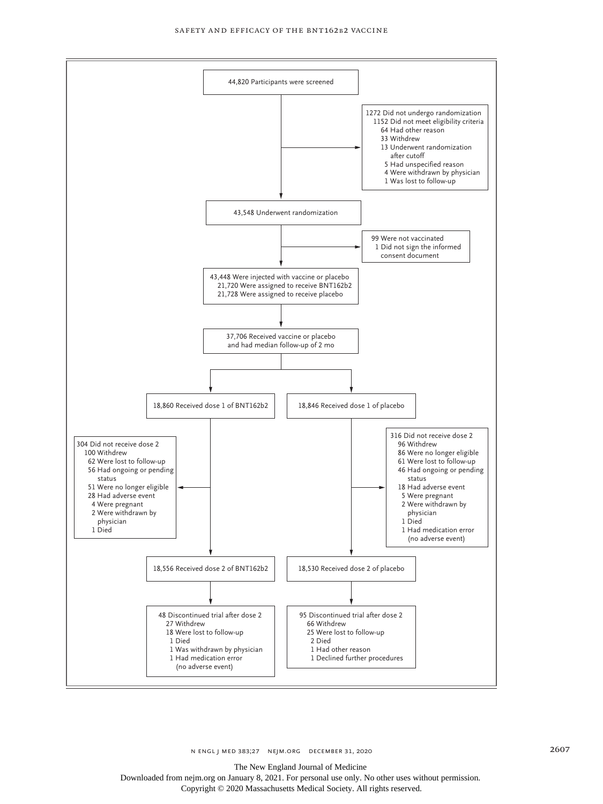

The New England Journal of Medicine

Downloaded from nejm.org on January 8, 2021. For personal use only. No other uses without permission. Copyright © 2020 Massachusetts Medical Society. All rights reserved.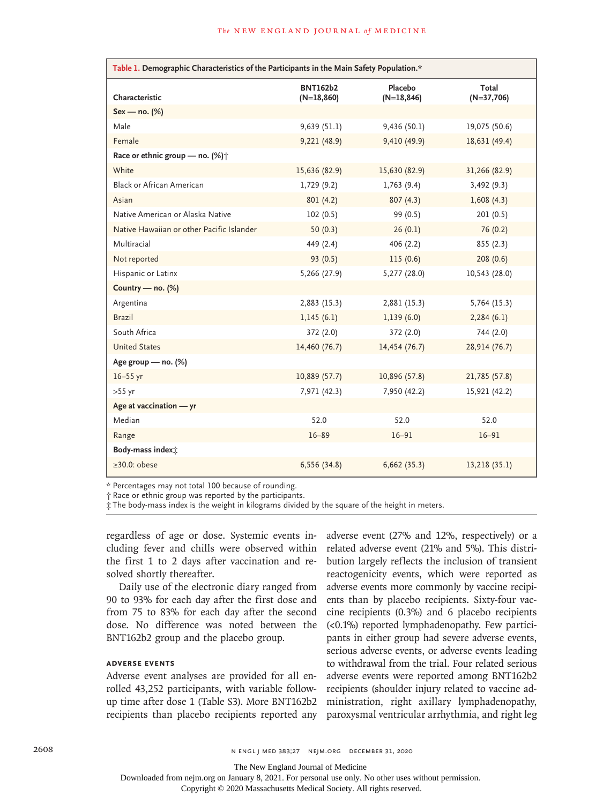| Table 1. Demographic Characteristics of the Participants in the Main Safety Population.* |                                 |                          |                       |  |  |  |  |
|------------------------------------------------------------------------------------------|---------------------------------|--------------------------|-----------------------|--|--|--|--|
| Characteristic                                                                           | <b>BNT162b2</b><br>$(N=18,860)$ | Placebo<br>$(N=18, 846)$ | Total<br>$(N=37,706)$ |  |  |  |  |
| $Sex - no.$ (%)                                                                          |                                 |                          |                       |  |  |  |  |
| Male                                                                                     | 9,639(51.1)                     | 9,436(50.1)              | 19,075 (50.6)         |  |  |  |  |
| Female                                                                                   | 9,221 (48.9)                    | 9,410 (49.9)             | 18,631 (49.4)         |  |  |  |  |
| Race or ethnic group - no. (%) $\uparrow$                                                |                                 |                          |                       |  |  |  |  |
| White                                                                                    | 15,636 (82.9)                   | 15,630 (82.9)            | 31,266 (82.9)         |  |  |  |  |
| <b>Black or African American</b>                                                         | 1,729(9.2)                      | 1,763(9.4)               | 3,492(9.3)            |  |  |  |  |
| Asian                                                                                    | 801(4.2)                        | 807(4.3)                 | 1,608(4.3)            |  |  |  |  |
| Native American or Alaska Native                                                         | 102(0.5)                        | 99 (0.5)                 | 201(0.5)              |  |  |  |  |
| Native Hawaiian or other Pacific Islander                                                | 50 $(0.3)$                      | 26(0.1)                  | 76 (0.2)              |  |  |  |  |
| Multiracial                                                                              | 449 (2.4)                       | 406(2.2)                 | 855(2.3)              |  |  |  |  |
| Not reported                                                                             | 93(0.5)                         | 115(0.6)                 | 208(0.6)              |  |  |  |  |
| Hispanic or Latinx                                                                       | 5,266 (27.9)                    | 5,277 (28.0)             | 10,543 (28.0)         |  |  |  |  |
| Country - no. (%)                                                                        |                                 |                          |                       |  |  |  |  |
| Argentina                                                                                | 2,883 (15.3)                    | 2,881 (15.3)             | 5,764(15.3)           |  |  |  |  |
| <b>Brazil</b>                                                                            | 1,145(6.1)                      | 1,139(6.0)               | 2,284(6.1)            |  |  |  |  |
| South Africa                                                                             | 372 (2.0)                       | 372 (2.0)                | 744 (2.0)             |  |  |  |  |
| <b>United States</b>                                                                     | 14,460 (76.7)                   | 14,454 (76.7)            | 28,914 (76.7)         |  |  |  |  |
| Age group - no. (%)                                                                      |                                 |                          |                       |  |  |  |  |
| $16 - 55$ yr                                                                             | 10,889 (57.7)                   | 10,896 (57.8)            | 21,785 (57.8)         |  |  |  |  |
| $>55$ yr                                                                                 | 7,971 (42.3)                    | 7,950 (42.2)             | 15,921 (42.2)         |  |  |  |  |
| Age at vaccination - yr                                                                  |                                 |                          |                       |  |  |  |  |
| Median                                                                                   | 52.0                            | 52.0                     | 52.0                  |  |  |  |  |
| Range                                                                                    | $16 - 89$                       | $16 - 91$                | $16 - 91$             |  |  |  |  |
| Body-mass index <sup>+</sup>                                                             |                                 |                          |                       |  |  |  |  |
| $\geq 30.0$ : obese                                                                      | 6,556 (34.8)                    | 6,662(35.3)              | 13,218 (35.1)         |  |  |  |  |

\* Percentages may not total 100 because of rounding.

† Race or ethnic group was reported by the participants.

‡ The body-mass index is the weight in kilograms divided by the square of the height in meters.

regardless of age or dose. Systemic events including fever and chills were observed within the first 1 to 2 days after vaccination and resolved shortly thereafter.

Daily use of the electronic diary ranged from 90 to 93% for each day after the first dose and from 75 to 83% for each day after the second dose. No difference was noted between the BNT162b2 group and the placebo group.

# **Adverse Events**

Adverse event analyses are provided for all enrolled 43,252 participants, with variable followup time after dose 1 (Table S3). More BNT162b2 recipients than placebo recipients reported any

adverse event (27% and 12%, respectively) or a related adverse event (21% and 5%). This distribution largely reflects the inclusion of transient reactogenicity events, which were reported as adverse events more commonly by vaccine recipients than by placebo recipients. Sixty-four vaccine recipients (0.3%) and 6 placebo recipients (<0.1%) reported lymphadenopathy. Few participants in either group had severe adverse events, serious adverse events, or adverse events leading to withdrawal from the trial. Four related serious adverse events were reported among BNT162b2 recipients (shoulder injury related to vaccine administration, right axillary lymphadenopathy, paroxysmal ventricular arrhythmia, and right leg

The New England Journal of Medicine

Downloaded from nejm.org on January 8, 2021. For personal use only. No other uses without permission.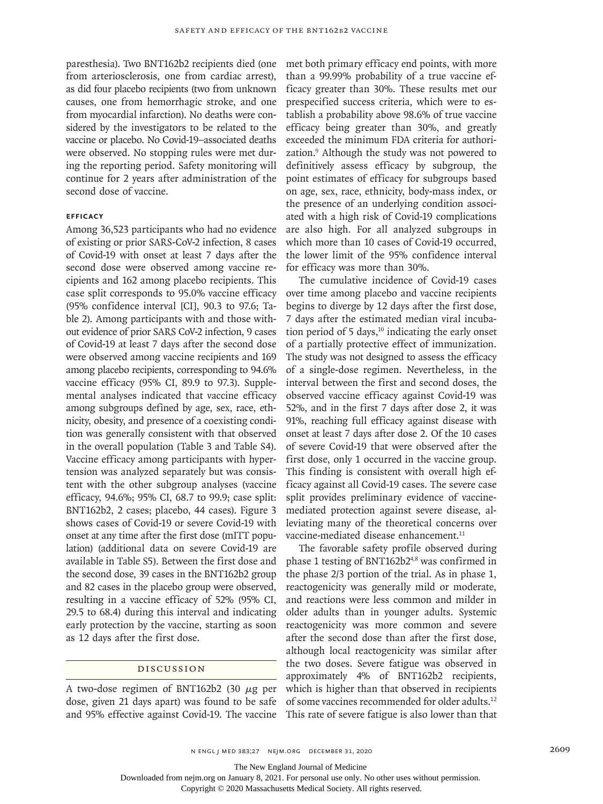paresthesia). Two BNT162b2 recipients died (one from arteriosclerosis, one from cardiac arrest), as did four placebo recipients (two from unknown causes, one from hemorrhagic stroke, and one from myocardial infarction). No deaths were considered by the investigators to be related to the vaccine or placebo. No Covid-19–associated deaths were observed. No stopping rules were met during the reporting period. Safety monitoring will continue for 2 years after administration of the second dose of vaccine.

#### **Efficacy**

Among 36,523 participants who had no evidence of existing or prior SARS-CoV-2 infection, 8 cases of Covid-19 with onset at least 7 days after the second dose were observed among vaccine recipients and 162 among placebo recipients. This case split corresponds to 95.0% vaccine efficacy (95% confidence interval [CI], 90.3 to 97.6; Table 2). Among participants with and those without evidence of prior SARS CoV-2 infection, 9 cases of Covid-19 at least 7 days after the second dose were observed among vaccine recipients and 169 among placebo recipients, corresponding to 94.6% vaccine efficacy (95% CI, 89.9 to 97.3). Supplemental analyses indicated that vaccine efficacy among subgroups defined by age, sex, race, ethnicity, obesity, and presence of a coexisting condition was generally consistent with that observed in the overall population (Table 3 and Table S4). Vaccine efficacy among participants with hypertension was analyzed separately but was consistent with the other subgroup analyses (vaccine efficacy, 94.6%; 95% CI, 68.7 to 99.9; case split: BNT162b2, 2 cases; placebo, 44 cases). Figure 3 shows cases of Covid-19 or severe Covid-19 with onset at any time after the first dose (mITT population) (additional data on severe Covid-19 are available in Table S5). Between the first dose and the second dose, 39 cases in the BNT162b2 group and 82 cases in the placebo group were observed, resulting in a vaccine efficacy of 52% (95% CI, 29.5 to 68.4) during this interval and indicating early protection by the vaccine, starting as soon as 12 days after the first dose.

#### Discussion

A two-dose regimen of BNT162b2 (30  $\mu$ g per dose, given 21 days apart) was found to be safe and 95% effective against Covid-19. The vaccine met both primary efficacy end points, with more than a 99.99% probability of a true vaccine efficacy greater than 30%. These results met our prespecified success criteria, which were to establish a probability above 98.6% of true vaccine efficacy being greater than 30%, and greatly exceeded the minimum FDA criteria for authorization.9 Although the study was not powered to definitively assess efficacy by subgroup, the point estimates of efficacy for subgroups based on age, sex, race, ethnicity, body-mass index, or the presence of an underlying condition associated with a high risk of Covid-19 complications are also high. For all analyzed subgroups in which more than 10 cases of Covid-19 occurred, the lower limit of the 95% confidence interval for efficacy was more than 30%.

The cumulative incidence of Covid-19 cases over time among placebo and vaccine recipients begins to diverge by 12 days after the first dose, 7 days after the estimated median viral incubation period of 5 days,<sup>10</sup> indicating the early onset of a partially protective effect of immunization. The study was not designed to assess the efficacy of a single-dose regimen. Nevertheless, in the interval between the first and second doses, the observed vaccine efficacy against Covid-19 was 52%, and in the first 7 days after dose 2, it was 91%, reaching full efficacy against disease with onset at least 7 days after dose 2. Of the 10 cases of severe Covid-19 that were observed after the first dose, only 1 occurred in the vaccine group. This finding is consistent with overall high efficacy against all Covid-19 cases. The severe case split provides preliminary evidence of vaccinemediated protection against severe disease, alleviating many of the theoretical concerns over vaccine-mediated disease enhancement.<sup>11</sup>

The favorable safety profile observed during phase 1 testing of BNT162b24,8 was confirmed in the phase 2/3 portion of the trial. As in phase 1, reactogenicity was generally mild or moderate, and reactions were less common and milder in older adults than in younger adults. Systemic reactogenicity was more common and severe after the second dose than after the first dose, although local reactogenicity was similar after the two doses. Severe fatigue was observed in approximately 4% of BNT162b2 recipients, which is higher than that observed in recipients of some vaccines recommended for older adults.12 This rate of severe fatigue is also lower than that

The New England Journal of Medicine

Downloaded from nejm.org on January 8, 2021. For personal use only. No other uses without permission.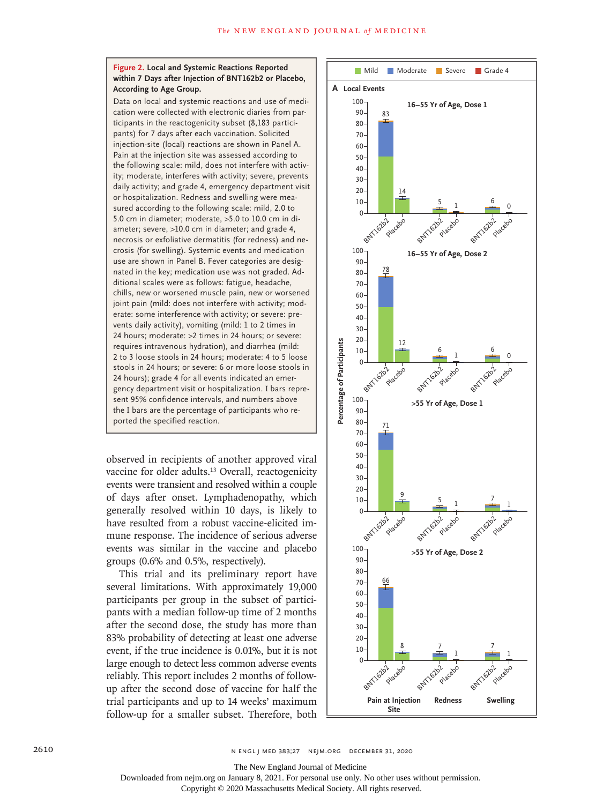#### **Figure 2. Local and Systemic Reactions Reported within 7 Days after Injection of BNT162b2 or Placebo, According to Age Group.**

Data on local and systemic reactions and use of medication were collected with electronic diaries from participants in the reactogenicity subset (8,183 participants) for 7 days after each vaccination. Solicited injection-site (local) reactions are shown in Panel A. Pain at the injection site was assessed according to the following scale: mild, does not interfere with activity; moderate, interferes with activity; severe, prevents daily activity; and grade 4, emergency department visit or hospitalization. Redness and swelling were measured according to the following scale: mild, 2.0 to 5.0 cm in diameter; moderate, >5.0 to 10.0 cm in diameter; severe, >10.0 cm in diameter; and grade 4, necrosis or exfoliative dermatitis (for redness) and necrosis (for swelling). Systemic events and medication use are shown in Panel B. Fever categories are designated in the key; medication use was not graded. Additional scales were as follows: fatigue, headache, chills, new or worsened muscle pain, new or worsened joint pain (mild: does not interfere with activity; moderate: some interference with activity; or severe: prevents daily activity), vomiting (mild: 1 to 2 times in 24 hours; moderate: >2 times in 24 hours; or severe: requires intravenous hydration), and diarrhea (mild: 2 to 3 loose stools in 24 hours; moderate: 4 to 5 loose stools in 24 hours; or severe: 6 or more loose stools in 24 hours); grade 4 for all events indicated an emergency department visit or hospitalization. I bars represent 95% confidence intervals, and numbers above the I bars are the percentage of participants who reported the specified reaction.

observed in recipients of another approved viral vaccine for older adults.<sup>13</sup> Overall, reactogenicity events were transient and resolved within a couple of days after onset. Lymphadenopathy, which generally resolved within 10 days, is likely to have resulted from a robust vaccine-elicited immune response. The incidence of serious adverse events was similar in the vaccine and placebo groups (0.6% and 0.5%, respectively).

This trial and its preliminary report have several limitations. With approximately 19,000 participants per group in the subset of participants with a median follow-up time of 2 months after the second dose, the study has more than 83% probability of detecting at least one adverse event, if the true incidence is 0.01%, but it is not large enough to detect less common adverse events reliably. This report includes 2 months of followup after the second dose of vaccine for half the trial participants and up to 14 weeks' maximum follow-up for a smaller subset. Therefore, both



The New England Journal of Medicine

Downloaded from nejm.org on January 8, 2021. For personal use only. No other uses without permission.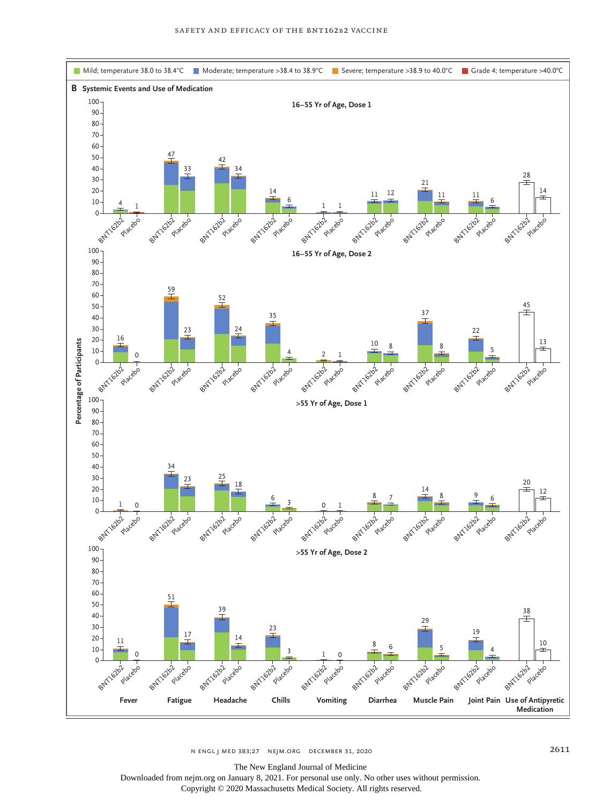

n engl j med 383;27 nejm.org December 31, 2020 2611

The New England Journal of Medicine

Downloaded from nejm.org on January 8, 2021. For personal use only. No other uses without permission. Copyright © 2020 Massachusetts Medical Society. All rights reserved.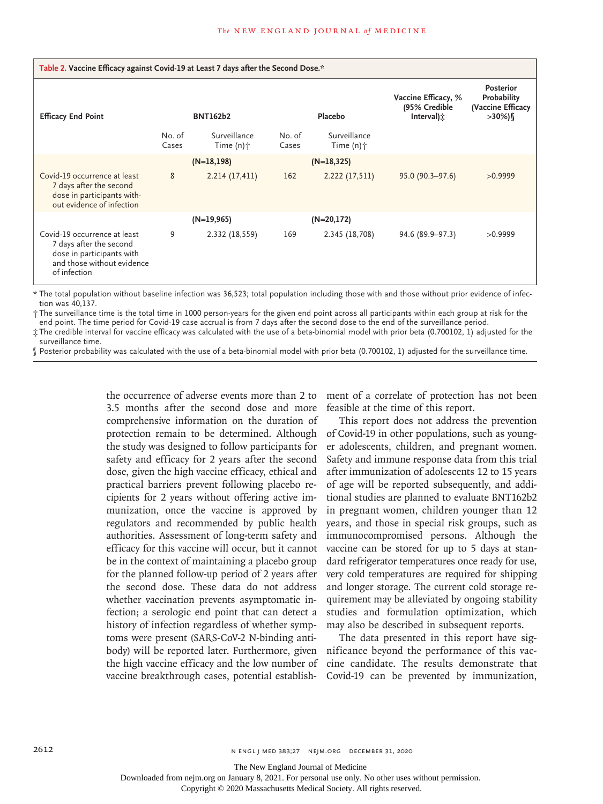| Table 2. Vaccine Efficacy against Covid-19 at Least 7 days after the Second Dose.*                                                 |                 |                                         |                 |                                         |                                                    |                                                                 |  |  |
|------------------------------------------------------------------------------------------------------------------------------------|-----------------|-----------------------------------------|-----------------|-----------------------------------------|----------------------------------------------------|-----------------------------------------------------------------|--|--|
| <b>Efficacy End Point</b>                                                                                                          | <b>BNT162b2</b> |                                         |                 | Placebo                                 | Vaccine Efficacy, %<br>(95% Credible<br>Interval): | <b>Posterior</b><br>Probability<br>(Vaccine Efficacy<br>$>30\%$ |  |  |
|                                                                                                                                    | No. of<br>Cases | Surveillance<br>Time $(n)$ <sup>+</sup> | No. of<br>Cases | Surveillance<br>Time $(n)$ <sup>+</sup> |                                                    |                                                                 |  |  |
|                                                                                                                                    | $(N=18,198)$    |                                         | $(N=18, 325)$   |                                         |                                                    |                                                                 |  |  |
| Covid-19 occurrence at least<br>7 days after the second<br>dose in participants with-<br>out evidence of infection                 | 8               | 2.214(17,411)                           | 162             | 2.222 (17,511)                          | $95.0(90.3 - 97.6)$                                | >0.9999                                                         |  |  |
|                                                                                                                                    | $(N=19,965)$    |                                         |                 | $(N=20,172)$                            |                                                    |                                                                 |  |  |
| Covid-19 occurrence at least<br>7 days after the second<br>dose in participants with<br>and those without evidence<br>of infection | 9               | 2.332 (18,559)                          | 169             | 2.345 (18,708)                          | 94.6 (89.9-97.3)                                   | >0.9999                                                         |  |  |

\* The total population without baseline infection was 36,523; total population including those with and those without prior evidence of infection was 40,137.

† The surveillance time is the total time in 1000 person-years for the given end point across all participants within each group at risk for the end point. The time period for Covid-19 case accrual is from 7 days after the second dose to the end of the surveillance period.

‡ The credible interval for vaccine efficacy was calculated with the use of a beta-binomial model with prior beta (0.700102, 1) adjusted for the surveillance time.

§ Posterior probability was calculated with the use of a beta-binomial model with prior beta (0.700102, 1) adjusted for the surveillance time.

the occurrence of adverse events more than 2 to 3.5 months after the second dose and more comprehensive information on the duration of protection remain to be determined. Although the study was designed to follow participants for safety and efficacy for 2 years after the second dose, given the high vaccine efficacy, ethical and practical barriers prevent following placebo recipients for 2 years without offering active immunization, once the vaccine is approved by regulators and recommended by public health authorities. Assessment of long-term safety and efficacy for this vaccine will occur, but it cannot be in the context of maintaining a placebo group for the planned follow-up period of 2 years after the second dose. These data do not address whether vaccination prevents asymptomatic infection; a serologic end point that can detect a history of infection regardless of whether symptoms were present (SARS-CoV-2 N-binding antibody) will be reported later. Furthermore, given the high vaccine efficacy and the low number of cine candidate. The results demonstrate that vaccine breakthrough cases, potential establish-Covid-19 can be prevented by immunization,

ment of a correlate of protection has not been feasible at the time of this report.

This report does not address the prevention of Covid-19 in other populations, such as younger adolescents, children, and pregnant women. Safety and immune response data from this trial after immunization of adolescents 12 to 15 years of age will be reported subsequently, and additional studies are planned to evaluate BNT162b2 in pregnant women, children younger than 12 years, and those in special risk groups, such as immunocompromised persons. Although the vaccine can be stored for up to 5 days at standard refrigerator temperatures once ready for use, very cold temperatures are required for shipping and longer storage. The current cold storage requirement may be alleviated by ongoing stability studies and formulation optimization, which may also be described in subsequent reports.

The data presented in this report have significance beyond the performance of this vac-

The New England Journal of Medicine

Downloaded from nejm.org on January 8, 2021. For personal use only. No other uses without permission.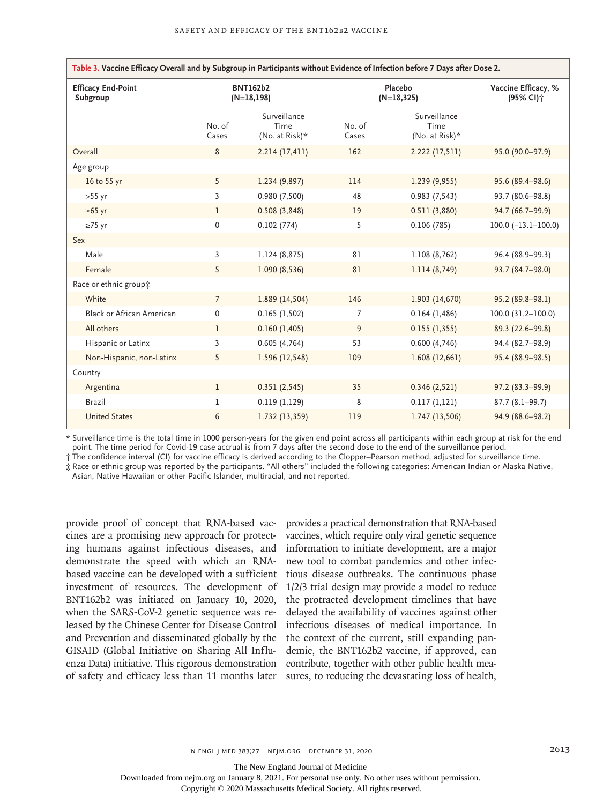| Table 3. Vaccine Efficacy Overall and by Subgroup in Participants without Evidence of Infection before 7 Days after Dose 2. |                                 |                                           |                          |                                           |                                              |  |  |
|-----------------------------------------------------------------------------------------------------------------------------|---------------------------------|-------------------------------------------|--------------------------|-------------------------------------------|----------------------------------------------|--|--|
| <b>Efficacy End-Point</b><br>Subgroup                                                                                       | <b>BNT162b2</b><br>$(N=18,198)$ |                                           | Placebo<br>$(N=18, 325)$ |                                           | Vaccine Efficacy, %<br>(95% CI) <sup>+</sup> |  |  |
|                                                                                                                             | No. of<br>Cases                 | Surveillance<br>Time<br>(No. at Risk) $*$ | No. of<br>Cases          | Surveillance<br>Time<br>(No. at Risk) $*$ |                                              |  |  |
| Overall                                                                                                                     | 8                               | 2.214(17,411)                             | 162                      | 2.222 (17,511)                            | 95.0 (90.0-97.9)                             |  |  |
| Age group                                                                                                                   |                                 |                                           |                          |                                           |                                              |  |  |
| 16 to 55 yr                                                                                                                 | 5                               | 1.234 (9,897)                             | 114                      | 1.239(9,955)                              | 95.6 (89.4-98.6)                             |  |  |
| $>55$ yr                                                                                                                    | $\overline{3}$                  | 0.980 (7,500)                             | 48                       | 0.983(7,543)                              | 93.7 (80.6-98.8)                             |  |  |
| $\geq 65$ yr                                                                                                                | $\mathbf{1}$                    | 0.508(3,848)                              | 19                       | 0.511(3,880)                              | 94.7 (66.7-99.9)                             |  |  |
| $\geq 75$ yr                                                                                                                | 0                               | 0.102(774)                                | 5                        | 0.106(785)                                | $100.0$ $(-13.1 - 100.0)$                    |  |  |
| Sex                                                                                                                         |                                 |                                           |                          |                                           |                                              |  |  |
| Male                                                                                                                        | 3                               | 1.124(8,875)                              | 81                       | 1.108 (8,762)                             | 96.4 (88.9-99.3)                             |  |  |
| Female                                                                                                                      | 5                               | 1.090(8,536)                              | 81                       | 1.114(8,749)                              | 93.7 (84.7-98.0)                             |  |  |
| Race or ethnic group*                                                                                                       |                                 |                                           |                          |                                           |                                              |  |  |
| White                                                                                                                       | $\overline{7}$                  | 1.889 (14,504)                            | 146                      | 1.903 (14,670)                            | 95.2 (89.8-98.1)                             |  |  |
| <b>Black or African American</b>                                                                                            | 0                               | 0.165(1,502)                              | 7                        | 0.164(1,486)                              | 100.0 (31.2-100.0)                           |  |  |
| All others                                                                                                                  | $\mathbf{1}$                    | 0.160(1,405)                              | 9                        | 0.155(1,355)                              | 89.3 (22.6-99.8)                             |  |  |
| Hispanic or Latinx                                                                                                          | 3                               | 0.605(4,764)                              | 53                       | 0.600(4,746)                              | 94.4 (82.7-98.9)                             |  |  |
| Non-Hispanic, non-Latinx                                                                                                    | 5                               | 1.596 (12,548)                            | 109                      | 1.608(12,661)                             | 95.4 (88.9-98.5)                             |  |  |
| Country                                                                                                                     |                                 |                                           |                          |                                           |                                              |  |  |
| Argentina                                                                                                                   | $\mathbf{1}$                    | 0.351(2,545)                              | 35                       | 0.346(2,521)                              | 97.2 (83.3-99.9)                             |  |  |
| Brazil                                                                                                                      | 1                               | 0.119(1,129)                              | 8                        | 0.117(1,121)                              | $87.7(8.1-99.7)$                             |  |  |
| <b>United States</b>                                                                                                        | 6                               | 1.732 (13,359)                            | 119                      | 1.747 (13,506)                            | 94.9 (88.6-98.2)                             |  |  |

\* Surveillance time is the total time in 1000 person-years for the given end point across all participants within each group at risk for the end point. The time period for Covid-19 case accrual is from 7 days after the second dose to the end of the surveillance period.

† The confidence interval (CI) for vaccine efficacy is derived according to the Clopper–Pearson method, adjusted for surveillance time. ‡ Race or ethnic group was reported by the participants. "All others" included the following categories: American Indian or Alaska Native,

Asian, Native Hawaiian or other Pacific Islander, multiracial, and not reported.

provide proof of concept that RNA-based vac-provides a practical demonstration that RNA-based cines are a promising new approach for protecting humans against infectious diseases, and information to initiate development, are a major demonstrate the speed with which an RNAbased vaccine can be developed with a sufficient investment of resources. The development of 1/2/3 trial design may provide a model to reduce BNT162b2 was initiated on January 10, 2020, the protracted development timelines that have when the SARS-CoV-2 genetic sequence was released by the Chinese Center for Disease Control infectious diseases of medical importance. In and Prevention and disseminated globally by the the context of the current, still expanding pan-GISAID (Global Initiative on Sharing All Influenza Data) initiative. This rigorous demonstration contribute, together with other public health meaof safety and efficacy less than 11 months later sures, to reducing the devastating loss of health,

vaccines, which require only viral genetic sequence new tool to combat pandemics and other infectious disease outbreaks. The continuous phase delayed the availability of vaccines against other demic, the BNT162b2 vaccine, if approved, can

The New England Journal of Medicine

Downloaded from nejm.org on January 8, 2021. For personal use only. No other uses without permission.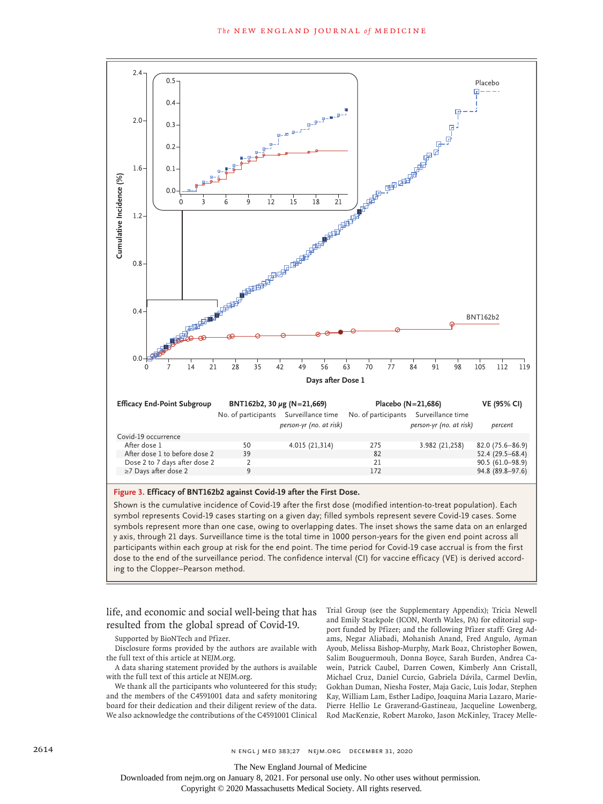

#### **Figure 3. Efficacy of BNT162b2 against Covid-19 after the First Dose.**

Shown is the cumulative incidence of Covid-19 after the first dose (modified intention-to-treat population). Each symbol represents Covid-19 cases starting on a given day; filled symbols represent severe Covid-19 cases. Some symbols represent more than one case, owing to overlapping dates. The inset shows the same data on an enlarged y axis, through 21 days. Surveillance time is the total time in 1000 person-years for the given end point across all participants within each group at risk for the end point. The time period for Covid-19 case accrual is from the first dose to the end of the surveillance period. The confidence interval (CI) for vaccine efficacy (VE) is derived accord-

life, and economic and social well-being that has resulted from the global spread of Covid-19.

Supported by BioNTech and Pfizer.

Disclosure forms provided by the authors are available with the full text of this article at NEJM.org.

A data sharing statement provided by the authors is available with the full text of this article at NEJM.org.

We thank all the participants who volunteered for this study; and the members of the C4591001 data and safety monitoring board for their dedication and their diligent review of the data. We also acknowledge the contributions of the C4591001 Clinical Trial Group (see the Supplementary Appendix); Tricia Newell and Emily Stackpole (ICON, North Wales, PA) for editorial support funded by Pfizer; and the following Pfizer staff: Greg Adams, Negar Aliabadi, Mohanish Anand, Fred Angulo, Ayman Ayoub, Melissa Bishop-Murphy, Mark Boaz, Christopher Bowen, Salim Bouguermouh, Donna Boyce, Sarah Burden, Andrea Cawein, Patrick Caubel, Darren Cowen, Kimberly Ann Cristall, Michael Cruz, Daniel Curcio, Gabriela Dávila, Carmel Devlin, Gokhan Duman, Niesha Foster, Maja Gacic, Luis Jodar, Stephen Kay, William Lam, Esther Ladipo, Joaquina Maria Lazaro, Marie-Pierre Hellio Le Graverand-Gastineau, Jacqueline Lowenberg, Rod MacKenzie, Robert Maroko, Jason McKinley, Tracey Melle-

The New England Journal of Medicine

Downloaded from nejm.org on January 8, 2021. For personal use only. No other uses without permission.